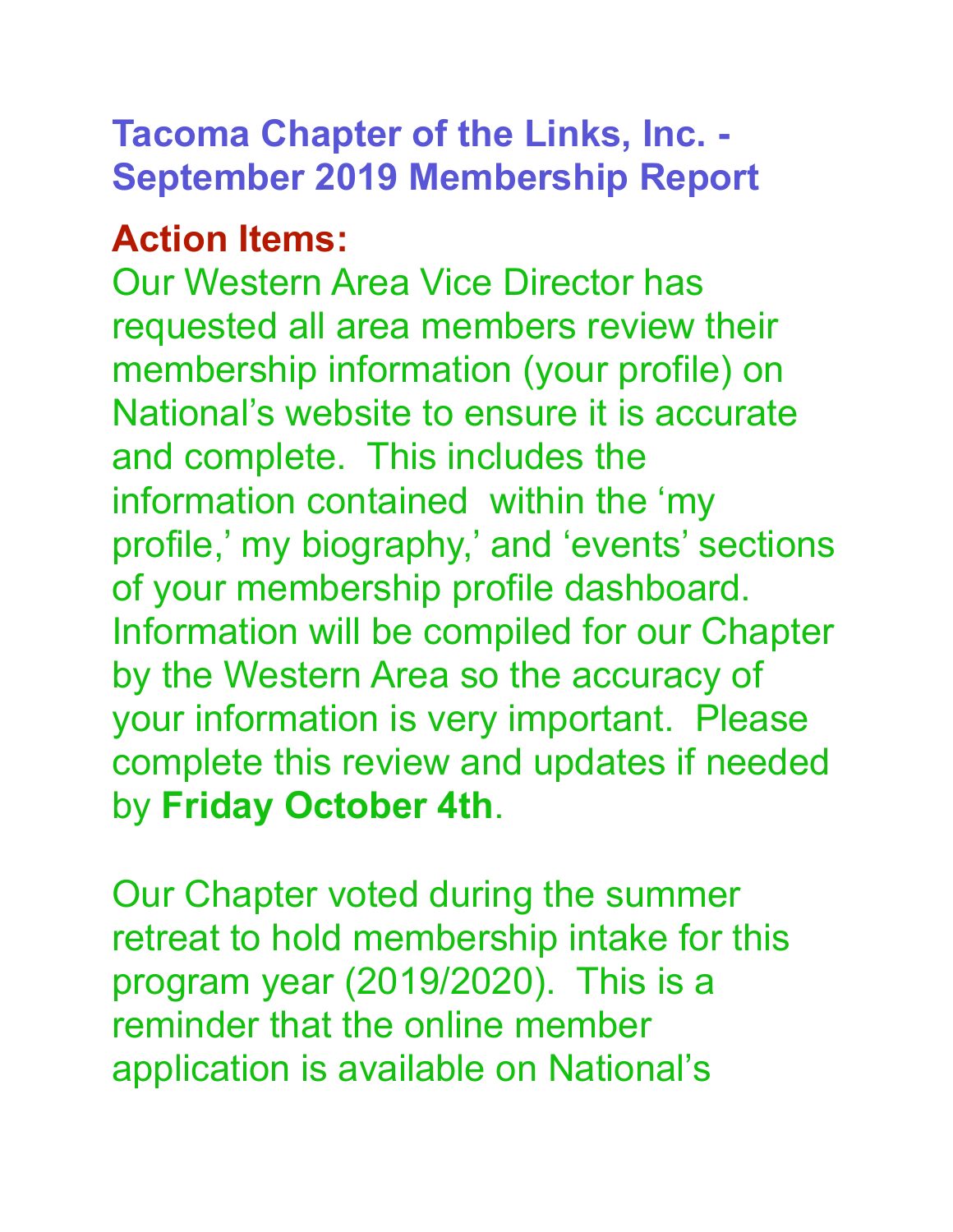## **Tacoma Chapter of the Links, Inc. - September 2019 Membership Report**

## **Action Items:**

Our Western Area Vice Director has requested all area members review their membership information (your profile) on National's website to ensure it is accurate and complete. This includes the information contained within the 'my profile,' my biography,' and 'events' sections of your membership profile dashboard. Information will be compiled for our Chapter by the Western Area so the accuracy of your information is very important. Please complete this review and updates if needed by **Friday October 4th**.

Our Chapter voted during the summer retreat to hold membership intake for this program year (2019/2020). This is a reminder that the online member application is available on National's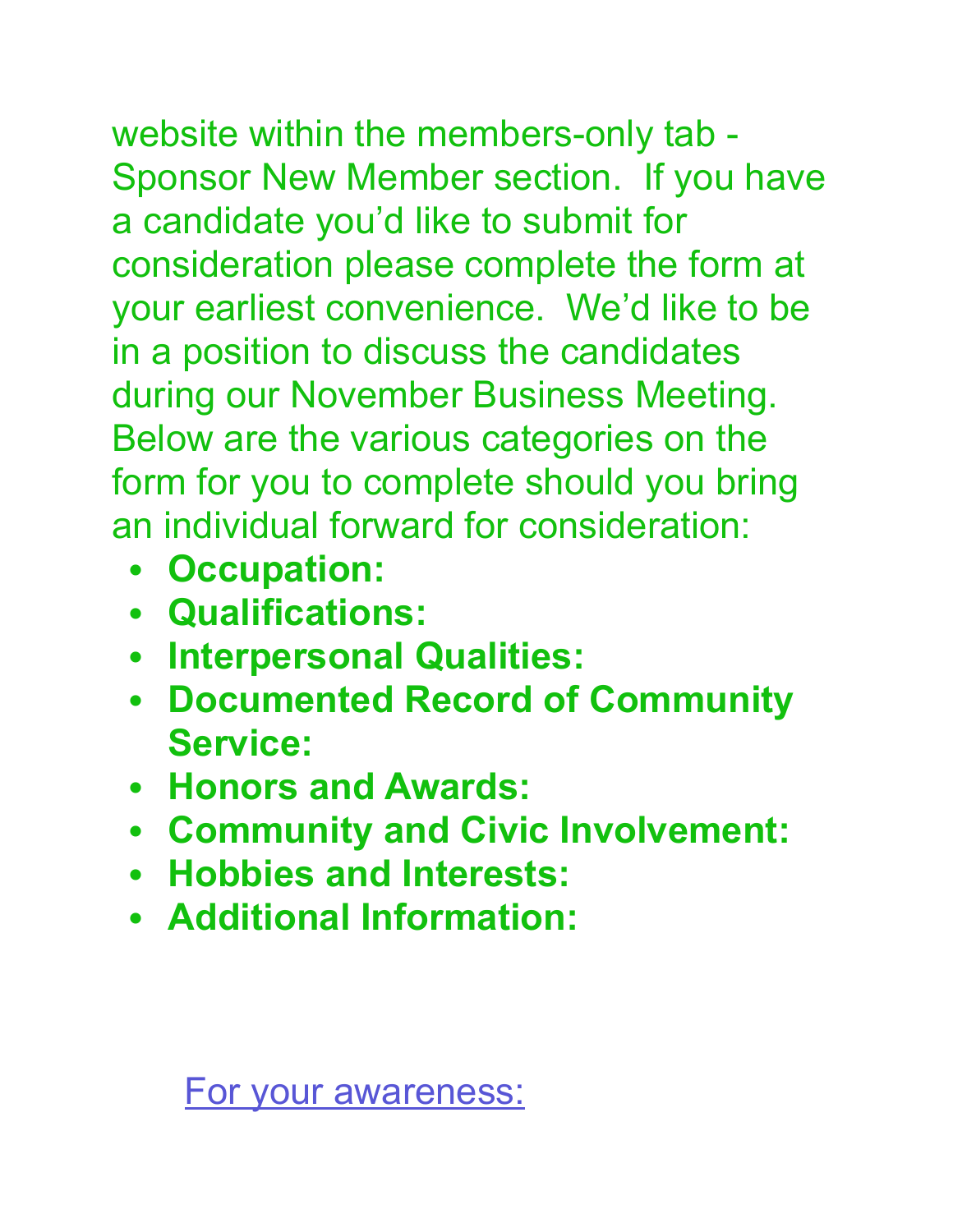website within the members-only tab - Sponsor New Member section. If you have

a candidate you'd like to submit for consideration please complete the form at your earliest convenience. We'd like to be in a position to discuss the candidates during our November Business Meeting. Below are the various categories on the form for you to complete should you bring an individual forward for consideration:

- **• Occupation:**
- **• Qualifications:**
- **• Interpersonal Qualities:**
- **• Documented Record of Community Service:**
- **• Honors and Awards:**
- **• Community and Civic Involvement:**
- **• Hobbies and Interests:**
- **• Additional Information:**